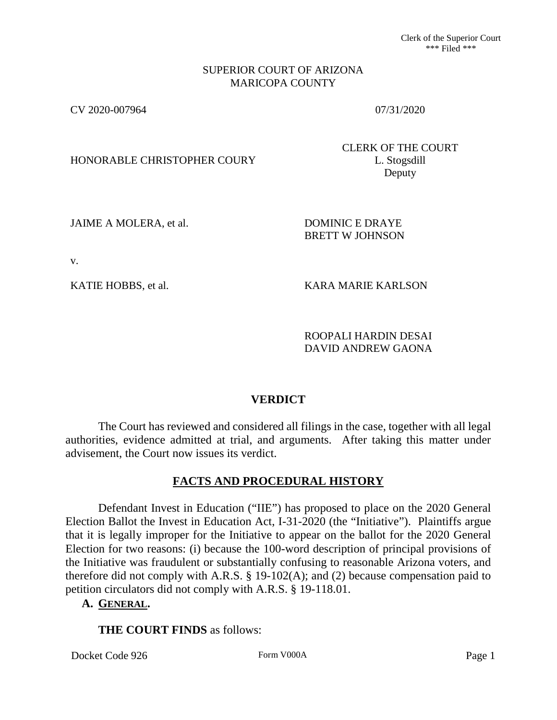Clerk of the Superior Court \*\*\* Filed \*\*\*

#### SUPERIOR COURT OF ARIZONA MARICOPA COUNTY

CV 2020-007964 07/31/2020

HONORABLE CHRISTOPHER COURY L. Stogsdill

CLERK OF THE COURT Deputy

JAIME A MOLERA, et al. DOMINIC E DRAYE

BRETT W JOHNSON

v.

KATIE HOBBS, et al. KARA MARIE KARLSON

ROOPALI HARDIN DESAI DAVID ANDREW GAONA

# **VERDICT**

The Court has reviewed and considered all filings in the case, together with all legal authorities, evidence admitted at trial, and arguments. After taking this matter under advisement, the Court now issues its verdict.

# **FACTS AND PROCEDURAL HISTORY**

Defendant Invest in Education ("IIE") has proposed to place on the 2020 General Election Ballot the Invest in Education Act, I-31-2020 (the "Initiative"). Plaintiffs argue that it is legally improper for the Initiative to appear on the ballot for the 2020 General Election for two reasons: (i) because the 100-word description of principal provisions of the Initiative was fraudulent or substantially confusing to reasonable Arizona voters, and therefore did not comply with A.R.S. § 19-102(A); and (2) because compensation paid to petition circulators did not comply with A.R.S. § 19-118.01.

# **A. GENERAL.**

# **THE COURT FINDS** as follows:

Docket Code 926 Form V000A Form V000A Page 1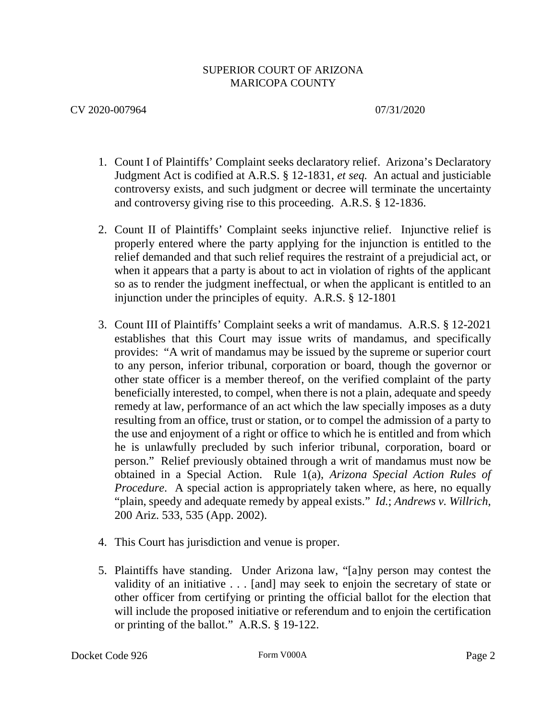- 1. Count I of Plaintiffs' Complaint seeks declaratory relief. Arizona's Declaratory Judgment Act is codified at A.R.S. § 12-1831, *et seq.* An actual and justiciable controversy exists, and such judgment or decree will terminate the uncertainty and controversy giving rise to this proceeding. A.R.S. § 12-1836.
- 2. Count II of Plaintiffs' Complaint seeks injunctive relief. Injunctive relief is properly entered where the party applying for the injunction is entitled to the relief demanded and that such relief requires the restraint of a prejudicial act, or when it appears that a party is about to act in violation of rights of the applicant so as to render the judgment ineffectual, or when the applicant is entitled to an injunction under the principles of equity. A.R.S. § 12-1801
- 3. Count III of Plaintiffs' Complaint seeks a writ of mandamus. A.R.S. § 12-2021 establishes that this Court may issue writs of mandamus, and specifically provides: "A writ of mandamus may be issued by the supreme or superior court to any person, inferior tribunal, corporation or board, though the governor or other state officer is a member thereof, on the verified complaint of the party beneficially interested, to compel, when there is not a plain, adequate and speedy remedy at law, performance of an act which the law specially imposes as a duty resulting from an office, trust or station, or to compel the admission of a party to the use and enjoyment of a right or office to which he is entitled and from which he is unlawfully precluded by such inferior tribunal, corporation, board or person." Relief previously obtained through a writ of mandamus must now be obtained in a Special Action. Rule 1(a), *Arizona Special Action Rules of Procedure.* A special action is appropriately taken where, as here, no equally "plain, speedy and adequate remedy by appeal exists." *Id.*; *Andrews v. Willrich*, 200 Ariz. 533, 535 (App. 2002).
- 4. This Court has jurisdiction and venue is proper.
- 5. Plaintiffs have standing. Under Arizona law, "[a]ny person may contest the validity of an initiative . . . [and] may seek to enjoin the secretary of state or other officer from certifying or printing the official ballot for the election that will include the proposed initiative or referendum and to enjoin the certification or printing of the ballot." A.R.S. § 19-122.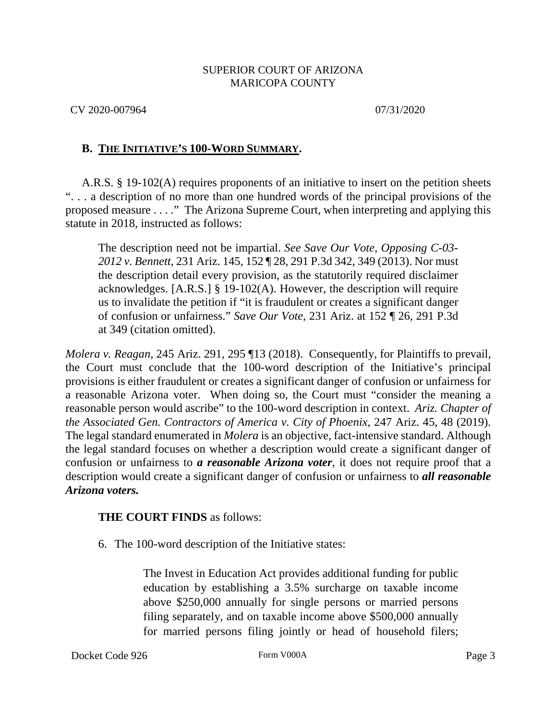CV 2020-007964 07/31/2020

# **B. THE INITIATIVE'S 100-WORD SUMMARY.**

A.R.S. § 19-102(A) requires proponents of an initiative to insert on the petition sheets ". . . a description of no more than one hundred words of the principal provisions of the proposed measure . . . ." The Arizona Supreme Court, when interpreting and applying this statute in 2018, instructed as follows:

The description need not be impartial. *See Save Our Vote, Opposing C-03- 2012 v. Bennett*, 231 Ariz. 145, 152 ¶ 28, 291 P.3d 342, 349 (2013). Nor must the description detail every provision, as the statutorily required disclaimer acknowledges. [A.R.S.] § 19-102(A). However, the description will require us to invalidate the petition if "it is fraudulent or creates a significant danger of confusion or unfairness." *Save Our Vote*, 231 Ariz. at 152 ¶ 26, 291 P.3d at 349 (citation omitted).

*Molera v. Reagan*, 245 Ariz. 291, 295 ¶13 (2018). Consequently, for Plaintiffs to prevail, the Court must conclude that the 100-word description of the Initiative's principal provisions is either fraudulent or creates a significant danger of confusion or unfairness for a reasonable Arizona voter. When doing so, the Court must "consider the meaning a reasonable person would ascribe" to the 100-word description in context. *Ariz. Chapter of the Associated Gen. Contractors of America v. City of Phoenix*, 247 Ariz. 45, 48 (2019). The legal standard enumerated in *Molera* is an objective, fact-intensive standard. Although the legal standard focuses on whether a description would create a significant danger of confusion or unfairness to *a reasonable Arizona voter*, it does not require proof that a description would create a significant danger of confusion or unfairness to *all reasonable Arizona voters.*

# **THE COURT FINDS** as follows:

6. The 100-word description of the Initiative states:

The Invest in Education Act provides additional funding for public education by establishing a 3.5% surcharge on taxable income above \$250,000 annually for single persons or married persons filing separately, and on taxable income above \$500,000 annually for married persons filing jointly or head of household filers;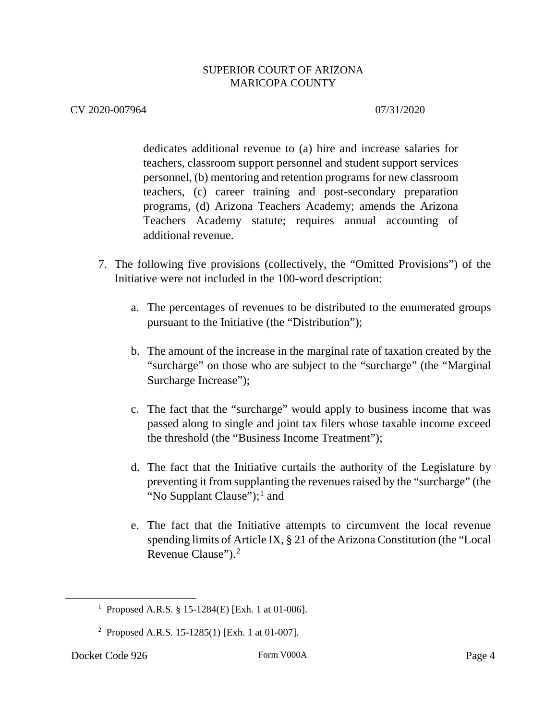## CV 2020-007964 07/31/2020

dedicates additional revenue to (a) hire and increase salaries for teachers, classroom support personnel and student support services personnel, (b) mentoring and retention programs for new classroom teachers, (c) career training and post-secondary preparation programs, (d) Arizona Teachers Academy; amends the Arizona Teachers Academy statute; requires annual accounting of additional revenue.

- 7. The following five provisions (collectively, the "Omitted Provisions") of the Initiative were not included in the 100-word description:
	- a. The percentages of revenues to be distributed to the enumerated groups pursuant to the Initiative (the "Distribution");
	- b. The amount of the increase in the marginal rate of taxation created by the "surcharge" on those who are subject to the "surcharge" (the "Marginal Surcharge Increase");
	- c. The fact that the "surcharge" would apply to business income that was passed along to single and joint tax filers whose taxable income exceed the threshold (the "Business Income Treatment");
	- d. The fact that the Initiative curtails the authority of the Legislature by preventing it from supplanting the revenues raised by the "surcharge" (the "No Supplant Clause"); $<sup>1</sup>$  $<sup>1</sup>$  $<sup>1</sup>$  and</sup>
	- e. The fact that the Initiative attempts to circumvent the local revenue spending limits of Article IX, § 21 of the Arizona Constitution (the "Local Revenue Clause").<sup>[2](#page-3-1)</sup>

<span id="page-3-1"></span><span id="page-3-0"></span><sup>1&</sup>lt;sup>1</sup> <sup>1</sup> Proposed A.R.S. § 15-1284(E) [Exh. 1 at 01-006].

<sup>2</sup> Proposed A.R.S. 15-1285(1) [Exh. 1 at 01-007].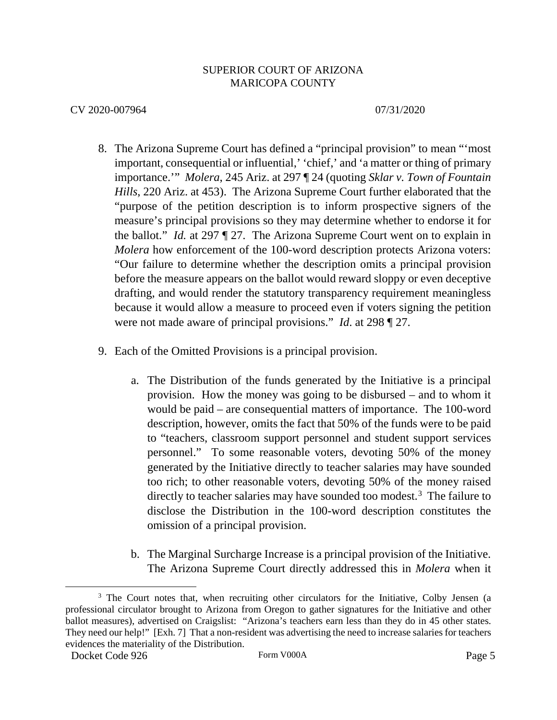- 8. The Arizona Supreme Court has defined a "principal provision" to mean "'most important, consequential or influential,' 'chief,' and 'a matter or thing of primary importance.'" *Molera*, 245 Ariz. at 297 ¶ 24 (quoting *Sklar v. Town of Fountain Hills*, 220 Ariz. at 453). The Arizona Supreme Court further elaborated that the "purpose of the petition description is to inform prospective signers of the measure's principal provisions so they may determine whether to endorse it for the ballot." *Id.* at 297 ¶ 27. The Arizona Supreme Court went on to explain in *Molera* how enforcement of the 100-word description protects Arizona voters: "Our failure to determine whether the description omits a principal provision before the measure appears on the ballot would reward sloppy or even deceptive drafting, and would render the statutory transparency requirement meaningless because it would allow a measure to proceed even if voters signing the petition were not made aware of principal provisions." *Id*. at 298 ¶ 27.
- 9. Each of the Omitted Provisions is a principal provision.
	- a. The Distribution of the funds generated by the Initiative is a principal provision. How the money was going to be disbursed – and to whom it would be paid – are consequential matters of importance. The 100-word description, however, omits the fact that 50% of the funds were to be paid to "teachers, classroom support personnel and student support services personnel." To some reasonable voters, devoting 50% of the money generated by the Initiative directly to teacher salaries may have sounded too rich; to other reasonable voters, devoting 50% of the money raised directly to teacher salaries may have sounded too modest.<sup>[3](#page-4-0)</sup> The failure to disclose the Distribution in the 100-word description constitutes the omission of a principal provision.
	- b. The Marginal Surcharge Increase is a principal provision of the Initiative. The Arizona Supreme Court directly addressed this in *Molera* when it

<span id="page-4-0"></span><sup>&</sup>lt;sup>3</sup> The Court notes that, when recruiting other circulators for the Initiative, Colby Jensen (a professional circulator brought to Arizona from Oregon to gather signatures for the Initiative and other ballot measures), advertised on Craigslist: "Arizona's teachers earn less than they do in 45 other states. They need our help!" [Exh. 7] That a non-resident was advertising the need to increase salaries for teachers evidences the materiality of the Distribution.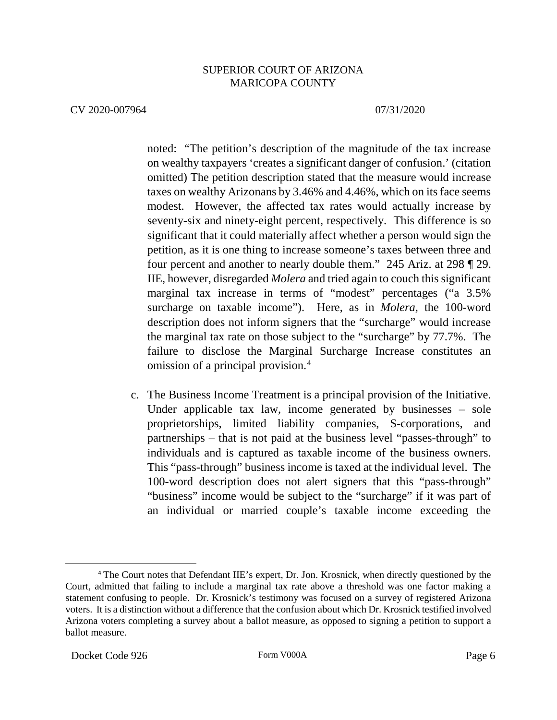#### CV 2020-007964 07/31/2020

noted: "The petition's description of the magnitude of the tax increase on wealthy taxpayers 'creates a significant danger of confusion.' (citation omitted) The petition description stated that the measure would increase taxes on wealthy Arizonans by 3.46% and 4.46%, which on its face seems modest. However, the affected tax rates would actually increase by seventy-six and ninety-eight percent, respectively. This difference is so significant that it could materially affect whether a person would sign the petition, as it is one thing to increase someone's taxes between three and four percent and another to nearly double them." 245 Ariz. at 298 ¶ 29. IIE, however, disregarded *Molera* and tried again to couch this significant marginal tax increase in terms of "modest" percentages ("a 3.5% surcharge on taxable income"). Here, as in *Molera*, the 100-word description does not inform signers that the "surcharge" would increase the marginal tax rate on those subject to the "surcharge" by 77.7%. The failure to disclose the Marginal Surcharge Increase constitutes an omission of a principal provision.[4](#page-5-0)

c. The Business Income Treatment is a principal provision of the Initiative. Under applicable tax law, income generated by businesses – sole proprietorships, limited liability companies, S-corporations, and partnerships – that is not paid at the business level "passes-through" to individuals and is captured as taxable income of the business owners. This "pass-through" business income is taxed at the individual level. The 100-word description does not alert signers that this "pass-through" "business" income would be subject to the "surcharge" if it was part of an individual or married couple's taxable income exceeding the

<span id="page-5-0"></span><sup>4</sup> The Court notes that Defendant IIE's expert, Dr. Jon. Krosnick, when directly questioned by the Court, admitted that failing to include a marginal tax rate above a threshold was one factor making a statement confusing to people. Dr. Krosnick's testimony was focused on a survey of registered Arizona voters. It is a distinction without a difference that the confusion about which Dr. Krosnick testified involved Arizona voters completing a survey about a ballot measure, as opposed to signing a petition to support a ballot measure.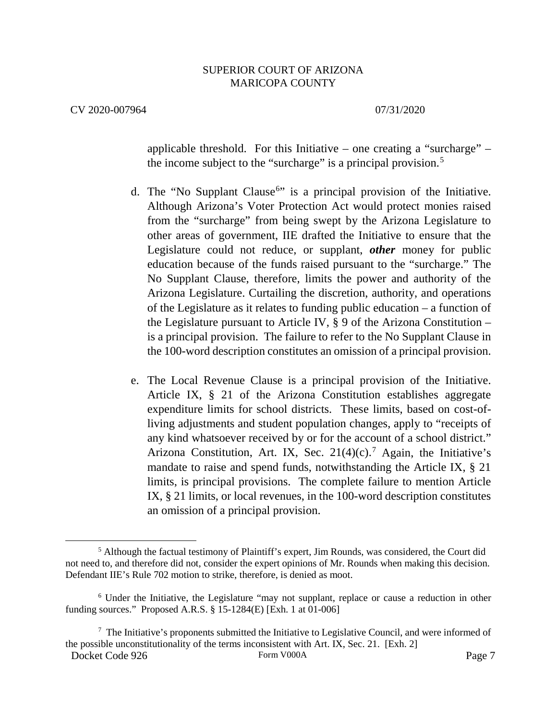#### CV 2020-007964 07/31/2020

applicable threshold. For this Initiative – one creating a "surcharge" – the income subject to the "surcharge" is a principal provision.<sup>[5](#page-6-0)</sup>

- d. The "No Supplant Clause<sup>[6](#page-6-1)</sup>" is a principal provision of the Initiative. Although Arizona's Voter Protection Act would protect monies raised from the "surcharge" from being swept by the Arizona Legislature to other areas of government, IIE drafted the Initiative to ensure that the Legislature could not reduce, or supplant, *other* money for public education because of the funds raised pursuant to the "surcharge." The No Supplant Clause, therefore, limits the power and authority of the Arizona Legislature. Curtailing the discretion, authority, and operations of the Legislature as it relates to funding public education – a function of the Legislature pursuant to Article IV,  $\S 9$  of the Arizona Constitution – is a principal provision. The failure to refer to the No Supplant Clause in the 100-word description constitutes an omission of a principal provision.
- e. The Local Revenue Clause is a principal provision of the Initiative. Article IX, § 21 of the Arizona Constitution establishes aggregate expenditure limits for school districts. These limits, based on cost-ofliving adjustments and student population changes, apply to "receipts of any kind whatsoever received by or for the account of a school district." Arizona Constitution, Art. IX, Sec.  $21(4)(c)$ .<sup>[7](#page-6-2)</sup> Again, the Initiative's mandate to raise and spend funds, notwithstanding the Article IX, § 21 limits, is principal provisions. The complete failure to mention Article IX, § 21 limits, or local revenues, in the 100-word description constitutes an omission of a principal provision.

<span id="page-6-0"></span> <sup>5</sup> Although the factual testimony of Plaintiff's expert, Jim Rounds, was considered, the Court did not need to, and therefore did not, consider the expert opinions of Mr. Rounds when making this decision. Defendant IIE's Rule 702 motion to strike, therefore, is denied as moot.

<span id="page-6-1"></span><sup>6</sup> Under the Initiative, the Legislature "may not supplant, replace or cause a reduction in other funding sources." Proposed A.R.S. § 15-1284(E) [Exh. 1 at 01-006]

<span id="page-6-2"></span>Docket Code 926 Form V000A Form V000A Page 7  $7$  The Initiative's proponents submitted the Initiative to Legislative Council, and were informed of the possible unconstitutionality of the terms inconsistent with Art. IX, Sec. 21. [Exh. 2]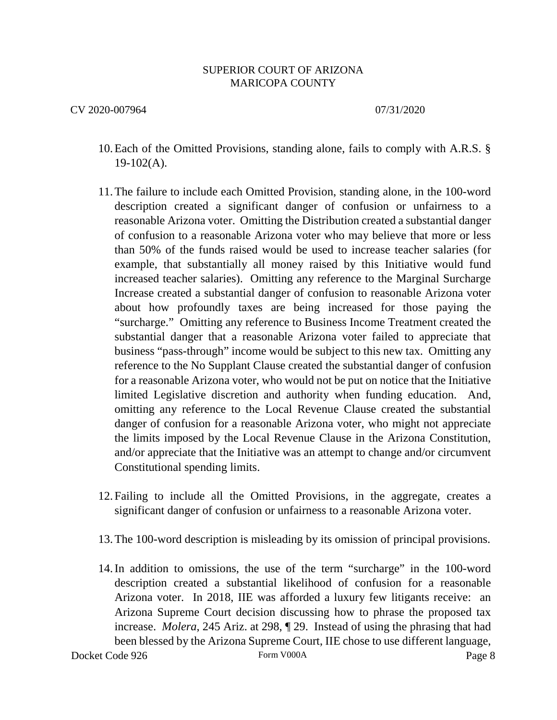- 10.Each of the Omitted Provisions, standing alone, fails to comply with A.R.S. §  $19-102(A)$ .
- 11.The failure to include each Omitted Provision, standing alone, in the 100-word description created a significant danger of confusion or unfairness to a reasonable Arizona voter. Omitting the Distribution created a substantial danger of confusion to a reasonable Arizona voter who may believe that more or less than 50% of the funds raised would be used to increase teacher salaries (for example, that substantially all money raised by this Initiative would fund increased teacher salaries). Omitting any reference to the Marginal Surcharge Increase created a substantial danger of confusion to reasonable Arizona voter about how profoundly taxes are being increased for those paying the "surcharge." Omitting any reference to Business Income Treatment created the substantial danger that a reasonable Arizona voter failed to appreciate that business "pass-through" income would be subject to this new tax. Omitting any reference to the No Supplant Clause created the substantial danger of confusion for a reasonable Arizona voter, who would not be put on notice that the Initiative limited Legislative discretion and authority when funding education. And, omitting any reference to the Local Revenue Clause created the substantial danger of confusion for a reasonable Arizona voter, who might not appreciate the limits imposed by the Local Revenue Clause in the Arizona Constitution, and/or appreciate that the Initiative was an attempt to change and/or circumvent Constitutional spending limits.
- 12. Failing to include all the Omitted Provisions, in the aggregate, creates a significant danger of confusion or unfairness to a reasonable Arizona voter.
- 13.The 100-word description is misleading by its omission of principal provisions.
- 14.In addition to omissions, the use of the term "surcharge" in the 100-word description created a substantial likelihood of confusion for a reasonable Arizona voter. In 2018, IIE was afforded a luxury few litigants receive: an Arizona Supreme Court decision discussing how to phrase the proposed tax increase. *Molera*, 245 Ariz. at 298, ¶ 29. Instead of using the phrasing that had been blessed by the Arizona Supreme Court, IIE chose to use different language,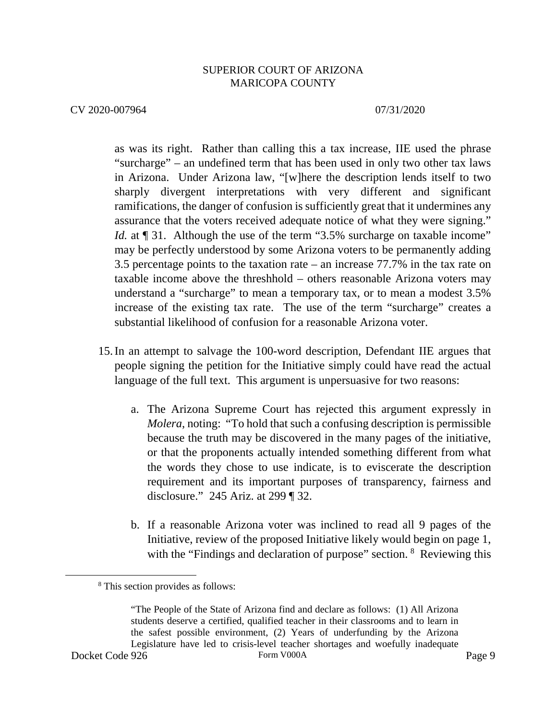#### CV 2020-007964 07/31/2020

as was its right. Rather than calling this a tax increase, IIE used the phrase "surcharge" – an undefined term that has been used in only two other tax laws in Arizona. Under Arizona law, "[w]here the description lends itself to two sharply divergent interpretations with very different and significant ramifications, the danger of confusion is sufficiently great that it undermines any assurance that the voters received adequate notice of what they were signing." *Id.* at  $\llbracket 31$ . Although the use of the term "3.5% surcharge on taxable income" may be perfectly understood by some Arizona voters to be permanently adding 3.5 percentage points to the taxation rate – an increase 77.7% in the tax rate on taxable income above the threshhold – others reasonable Arizona voters may understand a "surcharge" to mean a temporary tax, or to mean a modest 3.5% increase of the existing tax rate. The use of the term "surcharge" creates a substantial likelihood of confusion for a reasonable Arizona voter.

- 15.In an attempt to salvage the 100-word description, Defendant IIE argues that people signing the petition for the Initiative simply could have read the actual language of the full text. This argument is unpersuasive for two reasons:
	- a. The Arizona Supreme Court has rejected this argument expressly in *Molera*, noting: "To hold that such a confusing description is permissible because the truth may be discovered in the many pages of the initiative, or that the proponents actually intended something different from what the words they chose to use indicate, is to eviscerate the description requirement and its important purposes of transparency, fairness and disclosure." 245 Ariz. at 299 ¶ 32.
	- b. If a reasonable Arizona voter was inclined to read all 9 pages of the Initiative, review of the proposed Initiative likely would begin on page 1, with the "Findings and declaration of purpose" section. <sup>[8](#page-8-0)</sup> Reviewing this

 <sup>8</sup> This section provides as follows:

<span id="page-8-0"></span>Docket Code 926 Form V000A Form V000A Page 9 "The People of the State of Arizona find and declare as follows: (1) All Arizona students deserve a certified, qualified teacher in their classrooms and to learn in the safest possible environment, (2) Years of underfunding by the Arizona Legislature have led to crisis-level teacher shortages and woefully inadequate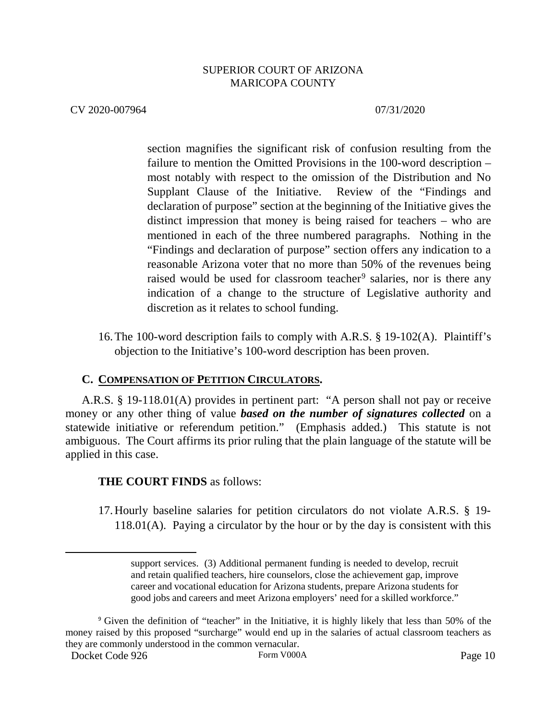#### CV 2020-007964 07/31/2020

section magnifies the significant risk of confusion resulting from the failure to mention the Omitted Provisions in the 100-word description – most notably with respect to the omission of the Distribution and No Supplant Clause of the Initiative. Review of the "Findings and declaration of purpose" section at the beginning of the Initiative gives the distinct impression that money is being raised for teachers – who are mentioned in each of the three numbered paragraphs. Nothing in the "Findings and declaration of purpose" section offers any indication to a reasonable Arizona voter that no more than 50% of the revenues being raised would be used for classroom teacher<sup>[9](#page-9-0)</sup> salaries, nor is there any indication of a change to the structure of Legislative authority and discretion as it relates to school funding.

16.The 100-word description fails to comply with A.R.S. § 19-102(A). Plaintiff's objection to the Initiative's 100-word description has been proven.

# **C. COMPENSATION OF PETITION CIRCULATORS.**

A.R.S. § 19-118.01(A) provides in pertinent part: "A person shall not pay or receive money or any other thing of value *based on the number of signatures collected* on a statewide initiative or referendum petition." (Emphasis added.) This statute is not ambiguous. The Court affirms its prior ruling that the plain language of the statute will be applied in this case.

# **THE COURT FINDS** as follows:

17.Hourly baseline salaries for petition circulators do not violate A.R.S. § 19-  $118.01(A)$ . Paying a circulator by the hour or by the day is consistent with this

support services. (3) Additional permanent funding is needed to develop, recruit and retain qualified teachers, hire counselors, close the achievement gap, improve career and vocational education for Arizona students, prepare Arizona students for good jobs and careers and meet Arizona employers' need for a skilled workforce."

<span id="page-9-0"></span><sup>9</sup> Given the definition of "teacher" in the Initiative, it is highly likely that less than 50% of the money raised by this proposed "surcharge" would end up in the salaries of actual classroom teachers as they are commonly understood in the common vernacular.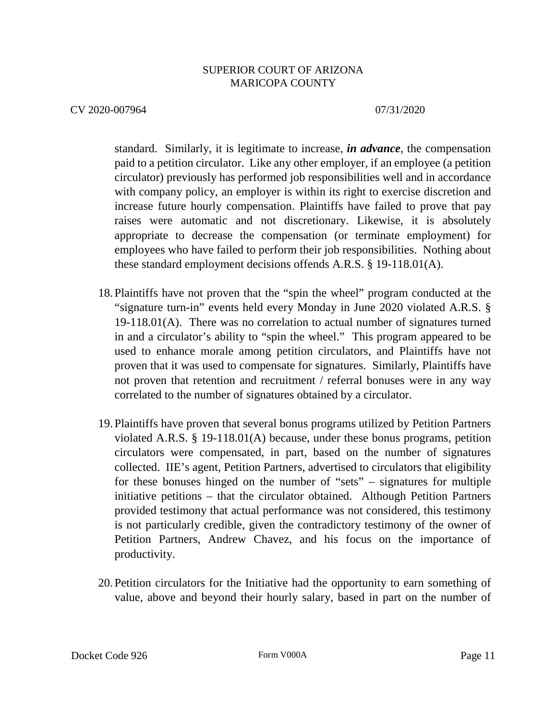CV 2020-007964 07/31/2020

standard. Similarly, it is legitimate to increase, *in advance*, the compensation paid to a petition circulator. Like any other employer, if an employee (a petition circulator) previously has performed job responsibilities well and in accordance with company policy, an employer is within its right to exercise discretion and increase future hourly compensation. Plaintiffs have failed to prove that pay raises were automatic and not discretionary. Likewise, it is absolutely appropriate to decrease the compensation (or terminate employment) for employees who have failed to perform their job responsibilities. Nothing about these standard employment decisions offends A.R.S. § 19-118.01(A).

- 18. Plaintiffs have not proven that the "spin the wheel" program conducted at the "signature turn-in" events held every Monday in June 2020 violated A.R.S. § 19-118.01(A). There was no correlation to actual number of signatures turned in and a circulator's ability to "spin the wheel." This program appeared to be used to enhance morale among petition circulators, and Plaintiffs have not proven that it was used to compensate for signatures. Similarly, Plaintiffs have not proven that retention and recruitment / referral bonuses were in any way correlated to the number of signatures obtained by a circulator.
- 19. Plaintiffs have proven that several bonus programs utilized by Petition Partners violated A.R.S. § 19-118.01(A) because, under these bonus programs, petition circulators were compensated, in part, based on the number of signatures collected. IIE's agent, Petition Partners, advertised to circulators that eligibility for these bonuses hinged on the number of "sets" – signatures for multiple initiative petitions – that the circulator obtained. Although Petition Partners provided testimony that actual performance was not considered, this testimony is not particularly credible, given the contradictory testimony of the owner of Petition Partners, Andrew Chavez, and his focus on the importance of productivity.
- 20. Petition circulators for the Initiative had the opportunity to earn something of value, above and beyond their hourly salary, based in part on the number of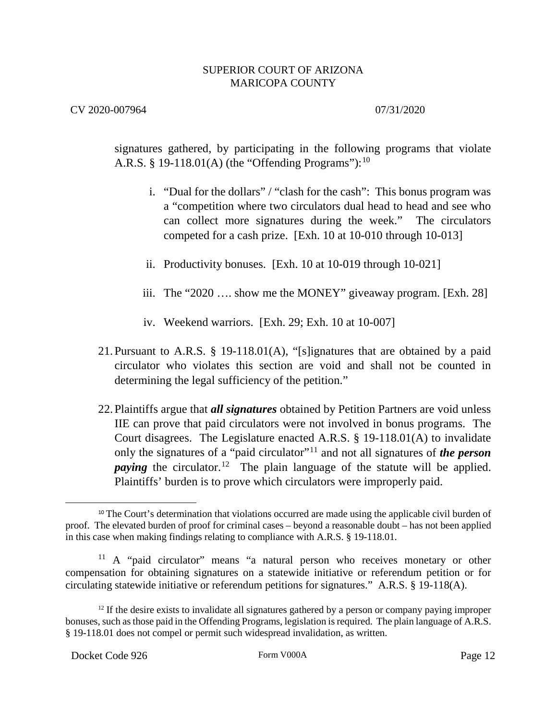CV 2020-007964 07/31/2020

signatures gathered, by participating in the following programs that violate A.R.S. § 19-118.01(A) (the "Offending Programs"):  $10$ 

- i. "Dual for the dollars" / "clash for the cash": This bonus program was a "competition where two circulators dual head to head and see who can collect more signatures during the week." The circulators competed for a cash prize. [Exh. 10 at 10-010 through 10-013]
- ii. Productivity bonuses. [Exh. 10 at 10-019 through 10-021]
- iii. The "2020 …. show me the MONEY" giveaway program. [Exh. 28]
- iv. Weekend warriors. [Exh. 29; Exh. 10 at 10-007]
- 21.Pursuant to A.R.S. § 19-118.01(A), "[s]ignatures that are obtained by a paid circulator who violates this section are void and shall not be counted in determining the legal sufficiency of the petition."
- 22.Plaintiffs argue that *all signatures* obtained by Petition Partners are void unless IIE can prove that paid circulators were not involved in bonus programs. The Court disagrees. The Legislature enacted A.R.S. § 19-118.01(A) to invalidate only the signatures of a "paid circulator"[11](#page-11-1) and not all signatures of *the person paying* the circulator.<sup>[12](#page-11-2)</sup> The plain language of the statute will be applied. Plaintiffs' burden is to prove which circulators were improperly paid.

<span id="page-11-0"></span><sup>&</sup>lt;sup>10</sup> The Court's determination that violations occurred are made using the applicable civil burden of proof. The elevated burden of proof for criminal cases – beyond a reasonable doubt – has not been applied in this case when making findings relating to compliance with A.R.S. § 19-118.01.

<span id="page-11-1"></span><sup>&</sup>lt;sup>11</sup> A "paid circulator" means "a natural person who receives monetary or other compensation for obtaining signatures on a statewide initiative or referendum petition or for circulating statewide initiative or referendum petitions for signatures." A.R.S. § 19-118(A).

<span id="page-11-2"></span><sup>&</sup>lt;sup>12</sup> If the desire exists to invalidate all signatures gathered by a person or company paying improper bonuses, such as those paid in the Offending Programs, legislation is required. The plain language of A.R.S. § 19-118.01 does not compel or permit such widespread invalidation, as written.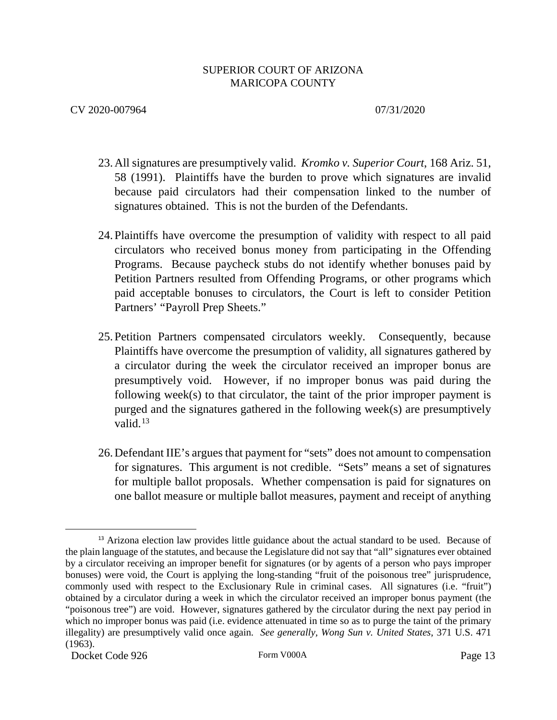- 23.All signatures are presumptively valid. *Kromko v. Superior Court*, 168 Ariz. 51, 58 (1991). Plaintiffs have the burden to prove which signatures are invalid because paid circulators had their compensation linked to the number of signatures obtained. This is not the burden of the Defendants.
- 24. Plaintiffs have overcome the presumption of validity with respect to all paid circulators who received bonus money from participating in the Offending Programs. Because paycheck stubs do not identify whether bonuses paid by Petition Partners resulted from Offending Programs, or other programs which paid acceptable bonuses to circulators, the Court is left to consider Petition Partners' "Payroll Prep Sheets."
- 25. Petition Partners compensated circulators weekly. Consequently, because Plaintiffs have overcome the presumption of validity, all signatures gathered by a circulator during the week the circulator received an improper bonus are presumptively void. However, if no improper bonus was paid during the following week(s) to that circulator, the taint of the prior improper payment is purged and the signatures gathered in the following week(s) are presumptively valid. $13$
- 26.Defendant IIE's argues that payment for "sets" does not amount to compensation for signatures. This argument is not credible. "Sets" means a set of signatures for multiple ballot proposals. Whether compensation is paid for signatures on one ballot measure or multiple ballot measures, payment and receipt of anything

<span id="page-12-0"></span> $\overline{a}$ <sup>13</sup> Arizona election law provides little guidance about the actual standard to be used. Because of the plain language of the statutes, and because the Legislature did not say that "all" signatures ever obtained by a circulator receiving an improper benefit for signatures (or by agents of a person who pays improper bonuses) were void, the Court is applying the long-standing "fruit of the poisonous tree" jurisprudence, commonly used with respect to the Exclusionary Rule in criminal cases. All signatures (i.e. "fruit") obtained by a circulator during a week in which the circulator received an improper bonus payment (the "poisonous tree") are void. However, signatures gathered by the circulator during the next pay period in which no improper bonus was paid (i.e. evidence attenuated in time so as to purge the taint of the primary illegality) are presumptively valid once again. *See generally, Wong Sun v. United States*, 371 U.S. 471 (1963).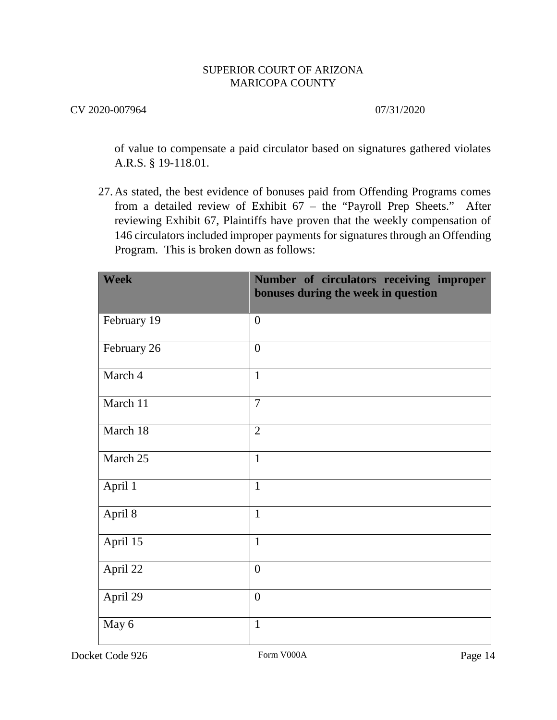# CV 2020-007964 07/31/2020

of value to compensate a paid circulator based on signatures gathered violates A.R.S. § 19-118.01.

27.As stated, the best evidence of bonuses paid from Offending Programs comes from a detailed review of Exhibit 67 – the "Payroll Prep Sheets." After reviewing Exhibit 67, Plaintiffs have proven that the weekly compensation of 146 circulators included improper payments for signatures through an Offending Program. This is broken down as follows:

| <b>Week</b> | Number of circulators receiving improper<br>bonuses during the week in question |
|-------------|---------------------------------------------------------------------------------|
| February 19 | $\overline{0}$                                                                  |
| February 26 | $\overline{0}$                                                                  |
| March 4     | $\mathbf{1}$                                                                    |
| March 11    | $\overline{7}$                                                                  |
| March 18    | $\overline{2}$                                                                  |
| March 25    | $\mathbf{1}$                                                                    |
| April 1     | $\mathbf{1}$                                                                    |
| April 8     | $\mathbf{1}$                                                                    |
| April 15    | $\mathbf{1}$                                                                    |
| April 22    | $\overline{0}$                                                                  |
| April 29    | $\overline{0}$                                                                  |
| May 6       | $\mathbf{1}$                                                                    |

Docket Code 926 Form V000A Form V000A Page 14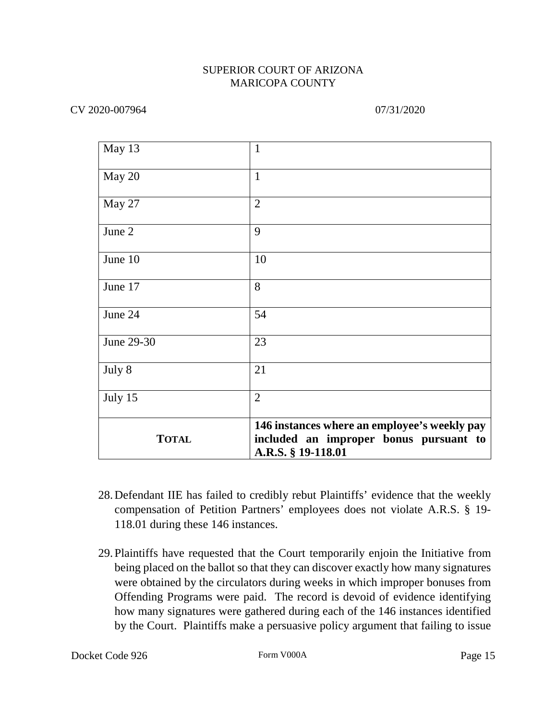| May 13       | $\mathbf{1}$                                                                                                 |
|--------------|--------------------------------------------------------------------------------------------------------------|
| May 20       | $\mathbf{1}$                                                                                                 |
| May 27       | $\overline{2}$                                                                                               |
| June 2       | 9                                                                                                            |
| June 10      | 10                                                                                                           |
| June 17      | 8                                                                                                            |
| June 24      | 54                                                                                                           |
| June 29-30   | 23                                                                                                           |
| July 8       | 21                                                                                                           |
| July 15      | $\overline{2}$                                                                                               |
| <b>TOTAL</b> | 146 instances where an employee's weekly pay<br>included an improper bonus pursuant to<br>A.R.S. § 19-118.01 |

- 28.Defendant IIE has failed to credibly rebut Plaintiffs' evidence that the weekly compensation of Petition Partners' employees does not violate A.R.S. § 19- 118.01 during these 146 instances.
- 29.Plaintiffs have requested that the Court temporarily enjoin the Initiative from being placed on the ballot so that they can discover exactly how many signatures were obtained by the circulators during weeks in which improper bonuses from Offending Programs were paid. The record is devoid of evidence identifying how many signatures were gathered during each of the 146 instances identified by the Court. Plaintiffs make a persuasive policy argument that failing to issue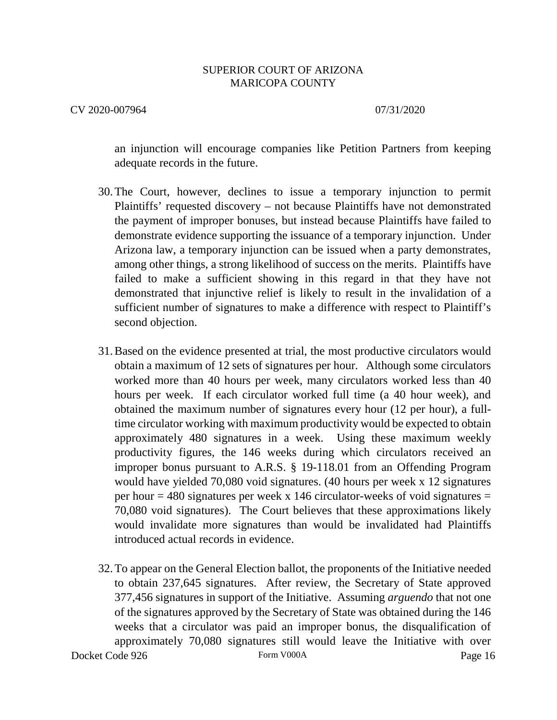### CV 2020-007964 07/31/2020

an injunction will encourage companies like Petition Partners from keeping adequate records in the future.

- 30.The Court, however, declines to issue a temporary injunction to permit Plaintiffs' requested discovery – not because Plaintiffs have not demonstrated the payment of improper bonuses, but instead because Plaintiffs have failed to demonstrate evidence supporting the issuance of a temporary injunction. Under Arizona law, a temporary injunction can be issued when a party demonstrates, among other things, a strong likelihood of success on the merits. Plaintiffs have failed to make a sufficient showing in this regard in that they have not demonstrated that injunctive relief is likely to result in the invalidation of a sufficient number of signatures to make a difference with respect to Plaintiff's second objection.
- 31.Based on the evidence presented at trial, the most productive circulators would obtain a maximum of 12 sets of signatures per hour. Although some circulators worked more than 40 hours per week, many circulators worked less than 40 hours per week. If each circulator worked full time (a 40 hour week), and obtained the maximum number of signatures every hour (12 per hour), a fulltime circulator working with maximum productivity would be expected to obtain approximately 480 signatures in a week. Using these maximum weekly productivity figures, the 146 weeks during which circulators received an improper bonus pursuant to A.R.S. § 19-118.01 from an Offending Program would have yielded 70,080 void signatures. (40 hours per week x 12 signatures per hour  $= 480$  signatures per week x 146 circulator-weeks of void signatures  $=$ 70,080 void signatures). The Court believes that these approximations likely would invalidate more signatures than would be invalidated had Plaintiffs introduced actual records in evidence.
- Docket Code 926 Form V000A Form V000A Page 16 32.To appear on the General Election ballot, the proponents of the Initiative needed to obtain 237,645 signatures. After review, the Secretary of State approved 377,456 signatures in support of the Initiative. Assuming *arguendo* that not one of the signatures approved by the Secretary of State was obtained during the 146 weeks that a circulator was paid an improper bonus, the disqualification of approximately 70,080 signatures still would leave the Initiative with over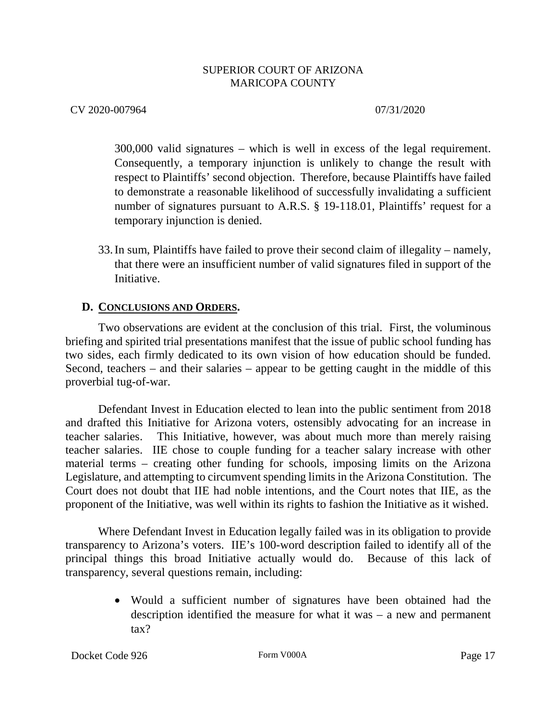CV 2020-007964 07/31/2020

300,000 valid signatures – which is well in excess of the legal requirement. Consequently, a temporary injunction is unlikely to change the result with respect to Plaintiffs' second objection. Therefore, because Plaintiffs have failed to demonstrate a reasonable likelihood of successfully invalidating a sufficient number of signatures pursuant to A.R.S. § 19-118.01, Plaintiffs' request for a temporary injunction is denied.

33.In sum, Plaintiffs have failed to prove their second claim of illegality – namely, that there were an insufficient number of valid signatures filed in support of the Initiative.

# **D. CONCLUSIONS AND ORDERS.**

Two observations are evident at the conclusion of this trial. First, the voluminous briefing and spirited trial presentations manifest that the issue of public school funding has two sides, each firmly dedicated to its own vision of how education should be funded. Second, teachers – and their salaries – appear to be getting caught in the middle of this proverbial tug-of-war.

Defendant Invest in Education elected to lean into the public sentiment from 2018 and drafted this Initiative for Arizona voters, ostensibly advocating for an increase in teacher salaries. This Initiative, however, was about much more than merely raising teacher salaries. IIE chose to couple funding for a teacher salary increase with other material terms – creating other funding for schools, imposing limits on the Arizona Legislature, and attempting to circumvent spending limits in the Arizona Constitution. The Court does not doubt that IIE had noble intentions, and the Court notes that IIE, as the proponent of the Initiative, was well within its rights to fashion the Initiative as it wished.

Where Defendant Invest in Education legally failed was in its obligation to provide transparency to Arizona's voters. IIE's 100-word description failed to identify all of the principal things this broad Initiative actually would do. Because of this lack of transparency, several questions remain, including:

> • Would a sufficient number of signatures have been obtained had the description identified the measure for what it was – a new and permanent tax?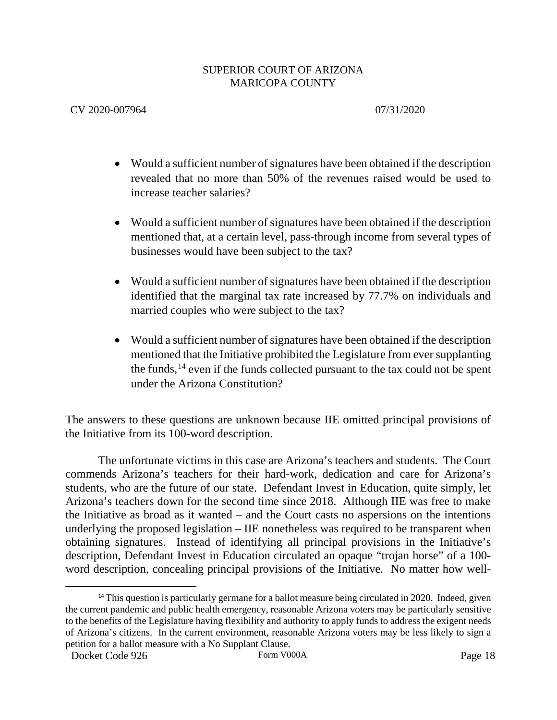# CV 2020-007964 07/31/2020

- Would a sufficient number of signatures have been obtained if the description revealed that no more than 50% of the revenues raised would be used to increase teacher salaries?
- Would a sufficient number of signatures have been obtained if the description mentioned that, at a certain level, pass-through income from several types of businesses would have been subject to the tax?
- Would a sufficient number of signatures have been obtained if the description identified that the marginal tax rate increased by 77.7% on individuals and married couples who were subject to the tax?
- Would a sufficient number of signatures have been obtained if the description mentioned that the Initiative prohibited the Legislature from ever supplanting the funds,  $14$  even if the funds collected pursuant to the tax could not be spent under the Arizona Constitution?

The answers to these questions are unknown because IIE omitted principal provisions of the Initiative from its 100-word description.

The unfortunate victims in this case are Arizona's teachers and students. The Court commends Arizona's teachers for their hard-work, dedication and care for Arizona's students, who are the future of our state. Defendant Invest in Education, quite simply, let Arizona's teachers down for the second time since 2018. Although IIE was free to make the Initiative as broad as it wanted – and the Court casts no aspersions on the intentions underlying the proposed legislation – IIE nonetheless was required to be transparent when obtaining signatures. Instead of identifying all principal provisions in the Initiative's description, Defendant Invest in Education circulated an opaque "trojan horse" of a 100 word description, concealing principal provisions of the Initiative. No matter how well-

<span id="page-17-0"></span><sup>&</sup>lt;sup>14</sup> This question is particularly germane for a ballot measure being circulated in 2020. Indeed, given the current pandemic and public health emergency, reasonable Arizona voters may be particularly sensitive to the benefits of the Legislature having flexibility and authority to apply funds to address the exigent needs of Arizona's citizens. In the current environment, reasonable Arizona voters may be less likely to sign a petition for a ballot measure with a No Supplant Clause.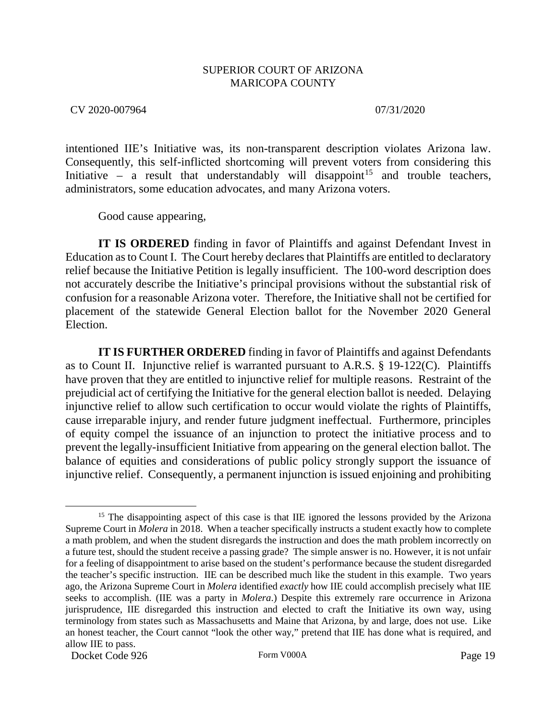CV 2020-007964 07/31/2020

intentioned IIE's Initiative was, its non-transparent description violates Arizona law. Consequently, this self-inflicted shortcoming will prevent voters from considering this Initiative – a result that understandably will disappoint<sup>[15](#page-18-0)</sup> and trouble teachers, administrators, some education advocates, and many Arizona voters.

Good cause appearing,

**IT IS ORDERED** finding in favor of Plaintiffs and against Defendant Invest in Education as to Count I. The Court hereby declares that Plaintiffs are entitled to declaratory relief because the Initiative Petition is legally insufficient. The 100-word description does not accurately describe the Initiative's principal provisions without the substantial risk of confusion for a reasonable Arizona voter. Therefore, the Initiative shall not be certified for placement of the statewide General Election ballot for the November 2020 General Election.

**IT IS FURTHER ORDERED** finding in favor of Plaintiffs and against Defendants as to Count II. Injunctive relief is warranted pursuant to A.R.S. § 19-122(C). Plaintiffs have proven that they are entitled to injunctive relief for multiple reasons. Restraint of the prejudicial act of certifying the Initiative for the general election ballot is needed. Delaying injunctive relief to allow such certification to occur would violate the rights of Plaintiffs, cause irreparable injury, and render future judgment ineffectual. Furthermore, principles of equity compel the issuance of an injunction to protect the initiative process and to prevent the legally-insufficient Initiative from appearing on the general election ballot. The balance of equities and considerations of public policy strongly support the issuance of injunctive relief. Consequently, a permanent injunction is issued enjoining and prohibiting

Docket Code 926 Form V000A Form V000A Page 19

<span id="page-18-0"></span><sup>&</sup>lt;sup>15</sup> The disappointing aspect of this case is that IIE ignored the lessons provided by the Arizona Supreme Court in *Molera* in 2018. When a teacher specifically instructs a student exactly how to complete a math problem, and when the student disregards the instruction and does the math problem incorrectly on a future test, should the student receive a passing grade? The simple answer is no. However, it is not unfair for a feeling of disappointment to arise based on the student's performance because the student disregarded the teacher's specific instruction. IIE can be described much like the student in this example. Two years ago, the Arizona Supreme Court in *Molera* identified *exactly* how IIE could accomplish precisely what IIE seeks to accomplish. (IIE was a party in *Molera*.) Despite this extremely rare occurrence in Arizona jurisprudence, IIE disregarded this instruction and elected to craft the Initiative its own way, using terminology from states such as Massachusetts and Maine that Arizona, by and large, does not use. Like an honest teacher, the Court cannot "look the other way," pretend that IIE has done what is required, and allow IIE to pass.